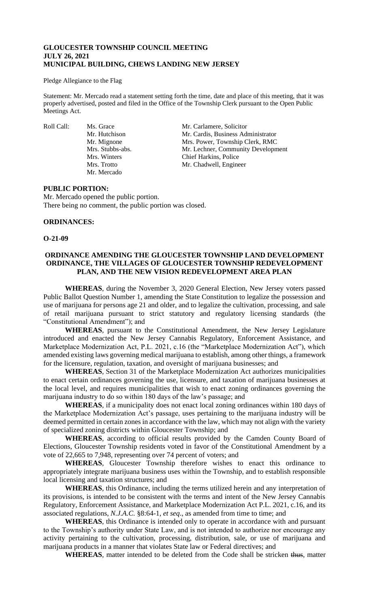## **GLOUCESTER TOWNSHIP COUNCIL MEETING JULY 26, 2021 MUNICIPAL BUILDING, CHEWS LANDING NEW JERSEY**

#### Pledge Allegiance to the Flag

Statement: Mr. Mercado read a statement setting forth the time, date and place of this meeting, that it was properly advertised, posted and filed in the Office of the Township Clerk pursuant to the Open Public Meetings Act.

Mr. Mercado

Roll Call: Ms. Grace Mr. Carlamere, Solicitor<br>Mr. Hutchison Mr. Cardis, Business Adı Mr. Cardis, Business Administrator Mr. Mignone Mrs. Power, Township Clerk, RMC Mrs. Stubbs-abs. Mr. Lechner, Community Development Mrs. Winters Chief Harkins, Police Mrs. Trotto Mr. Chadwell, Engineer

### **PUBLIC PORTION:**

Mr. Mercado opened the public portion. There being no comment, the public portion was closed.

### **ORDINANCES:**

**O-21-09**

### **ORDINANCE AMENDING THE GLOUCESTER TOWNSHIP LAND DEVELOPMENT ORDINANCE, THE VILLAGES OF GLOUCESTER TOWNSHIP REDEVELOPMENT PLAN, AND THE NEW VISION REDEVELOPMENT AREA PLAN**

**WHEREAS**, during the November 3, 2020 General Election, New Jersey voters passed Public Ballot Question Number 1, amending the State Constitution to legalize the possession and use of marijuana for persons age 21 and older, and to legalize the cultivation, processing, and sale of retail marijuana pursuant to strict statutory and regulatory licensing standards (the "Constitutional Amendment"); and

**WHEREAS**, pursuant to the Constitutional Amendment, the New Jersey Legislature introduced and enacted the New Jersey Cannabis Regulatory, Enforcement Assistance, and Marketplace Modernization Act, P.L. 2021, c.16 (the "Marketplace Modernization Act"), which amended existing laws governing medical marijuana to establish, among other things, a framework for the licensure, regulation, taxation, and oversight of marijuana businesses; and

**WHEREAS**, Section 31 of the Marketplace Modernization Act authorizes municipalities to enact certain ordinances governing the use, licensure, and taxation of marijuana businesses at the local level, and requires municipalities that wish to enact zoning ordinances governing the marijuana industry to do so within 180 days of the law's passage; and

**WHEREAS**, if a municipality does not enact local zoning ordinances within 180 days of the Marketplace Modernization Act's passage, uses pertaining to the marijuana industry will be deemed permitted in certain zones in accordance with the law, which may not align with the variety of specialized zoning districts within Gloucester Township; and

**WHEREAS**, according to official results provided by the Camden County Board of Elections, Gloucester Township residents voted in favor of the Constitutional Amendment by a vote of 22,665 to 7,948, representing over 74 percent of voters; and

**WHEREAS**, Gloucester Township therefore wishes to enact this ordinance to appropriately integrate marijuana business uses within the Township, and to establish responsible local licensing and taxation structures; and

**WHEREAS**, this Ordinance, including the terms utilized herein and any interpretation of its provisions, is intended to be consistent with the terms and intent of the New Jersey Cannabis Regulatory, Enforcement Assistance, and Marketplace Modernization Act P.L. 2021, c.16, and its associated regulations, *N.J.A.C.* §8:64-1, *et seq*., as amended from time to time; and

**WHEREAS**, this Ordinance is intended only to operate in accordance with and pursuant to the Township's authority under State Law, and is not intended to authorize nor encourage any activity pertaining to the cultivation, processing, distribution, sale, or use of marijuana and marijuana products in a manner that violates State law or Federal directives; and

WHEREAS, matter intended to be deleted from the Code shall be stricken thus, matter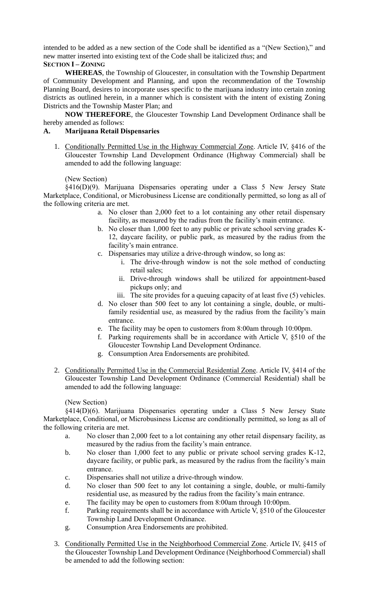intended to be added as a new section of the Code shall be identified as a "(New Section)," and new matter inserted into existing text of the Code shall be italicized *thus*; and **SECTION I – ZONING**

**WHEREAS**, the Township of Gloucester, in consultation with the Township Department of Community Development and Planning, and upon the recommendation of the Township Planning Board, desires to incorporate uses specific to the marijuana industry into certain zoning districts as outlined herein, in a manner which is consistent with the intent of existing Zoning Districts and the Township Master Plan; and

**NOW THEREFORE**, the Gloucester Township Land Development Ordinance shall be hereby amended as follows:

# **A. Marijuana Retail Dispensaries**

1. Conditionally Permitted Use in the Highway Commercial Zone. Article IV, §416 of the Gloucester Township Land Development Ordinance (Highway Commercial) shall be amended to add the following language:

# (New Section)

§416(D)(9). Marijuana Dispensaries operating under a Class 5 New Jersey State Marketplace, Conditional, or Microbusiness License are conditionally permitted, so long as all of the following criteria are met.

- a. No closer than 2,000 feet to a lot containing any other retail dispensary facility, as measured by the radius from the facility's main entrance.
- b. No closer than 1,000 feet to any public or private school serving grades K-12, daycare facility, or public park, as measured by the radius from the facility's main entrance.
- c. Dispensaries may utilize a drive-through window, so long as:
	- i. The drive-through window is not the sole method of conducting retail sales;
	- ii. Drive-through windows shall be utilized for appointment-based pickups only; and
	- iii. The site provides for a queuing capacity of at least five (5) vehicles.
- d. No closer than 500 feet to any lot containing a single, double, or multifamily residential use, as measured by the radius from the facility's main entrance.
- e. The facility may be open to customers from 8:00am through 10:00pm.
- f. Parking requirements shall be in accordance with Article V, §510 of the Gloucester Township Land Development Ordinance.
- g. Consumption Area Endorsements are prohibited.
- 2. Conditionally Permitted Use in the Commercial Residential Zone. Article IV, §414 of the Gloucester Township Land Development Ordinance (Commercial Residential) shall be amended to add the following language:

# (New Section)

§414(D)(6). Marijuana Dispensaries operating under a Class 5 New Jersey State Marketplace, Conditional, or Microbusiness License are conditionally permitted, so long as all of the following criteria are met.

- a. No closer than 2,000 feet to a lot containing any other retail dispensary facility, as measured by the radius from the facility's main entrance.
- b. No closer than 1,000 feet to any public or private school serving grades K-12, daycare facility, or public park, as measured by the radius from the facility's main entrance.
- c. Dispensaries shall not utilize a drive-through window.
- d. No closer than 500 feet to any lot containing a single, double, or multi-family residential use, as measured by the radius from the facility's main entrance.
- e. The facility may be open to customers from 8:00am through 10:00pm.
- f. Parking requirements shall be in accordance with Article V, §510 of the Gloucester Township Land Development Ordinance.
- g. Consumption Area Endorsements are prohibited.
- 3. Conditionally Permitted Use in the Neighborhood Commercial Zone. Article IV, §415 of the Gloucester Township Land Development Ordinance (Neighborhood Commercial) shall be amended to add the following section: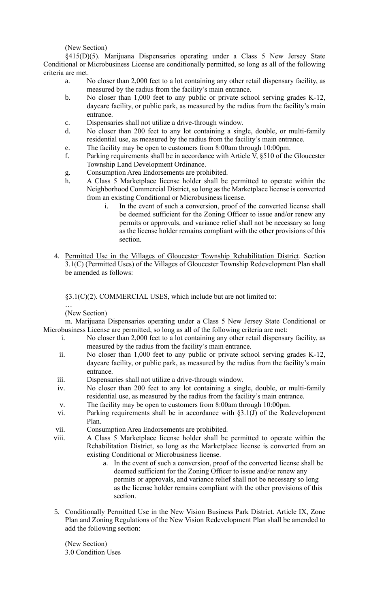(New Section)

§415(D)(5). Marijuana Dispensaries operating under a Class 5 New Jersey State Conditional or Microbusiness License are conditionally permitted, so long as all of the following criteria are met.

- a. No closer than 2,000 feet to a lot containing any other retail dispensary facility, as measured by the radius from the facility's main entrance.
- b. No closer than 1,000 feet to any public or private school serving grades K-12, daycare facility, or public park, as measured by the radius from the facility's main entrance.
- c. Dispensaries shall not utilize a drive-through window.
- d. No closer than 200 feet to any lot containing a single, double, or multi-family residential use, as measured by the radius from the facility's main entrance.
- e. The facility may be open to customers from 8:00am through 10:00pm.
- f. Parking requirements shall be in accordance with Article V, §510 of the Gloucester Township Land Development Ordinance.
- g. Consumption Area Endorsements are prohibited.
- h. A Class 5 Marketplace license holder shall be permitted to operate within the Neighborhood Commercial District, so long as the Marketplace license is converted from an existing Conditional or Microbusiness license.
	- i. In the event of such a conversion, proof of the converted license shall be deemed sufficient for the Zoning Officer to issue and/or renew any permits or approvals, and variance relief shall not be necessary so long as the license holder remains compliant with the other provisions of this section.
- 4. Permitted Use in the Villages of Gloucester Township Rehabilitation District. Section 3.1(C) (Permitted Uses) of the Villages of Gloucester Township Redevelopment Plan shall be amended as follows:

§3.1(C)(2). COMMERCIAL USES, which include but are not limited to:

… (New Section)

m. Marijuana Dispensaries operating under a Class 5 New Jersey State Conditional or Microbusiness License are permitted, so long as all of the following criteria are met:

- i. No closer than 2,000 feet to a lot containing any other retail dispensary facility, as measured by the radius from the facility's main entrance.
- ii. No closer than 1,000 feet to any public or private school serving grades K-12, daycare facility, or public park, as measured by the radius from the facility's main entrance.
- iii. Dispensaries shall not utilize a drive-through window.
- iv. No closer than 200 feet to any lot containing a single, double, or multi-family residential use, as measured by the radius from the facility's main entrance.
- v. The facility may be open to customers from 8:00am through 10:00pm.
- vi. Parking requirements shall be in accordance with §3.1(J) of the Redevelopment Plan.
- vii. Consumption Area Endorsements are prohibited.
- viii. A Class 5 Marketplace license holder shall be permitted to operate within the Rehabilitation District, so long as the Marketplace license is converted from an existing Conditional or Microbusiness license.
	- a. In the event of such a conversion, proof of the converted license shall be deemed sufficient for the Zoning Officer to issue and/or renew any permits or approvals, and variance relief shall not be necessary so long as the license holder remains compliant with the other provisions of this section.
- 5. Conditionally Permitted Use in the New Vision Business Park District. Article IX, Zone Plan and Zoning Regulations of the New Vision Redevelopment Plan shall be amended to add the following section:

(New Section) 3.0 Condition Uses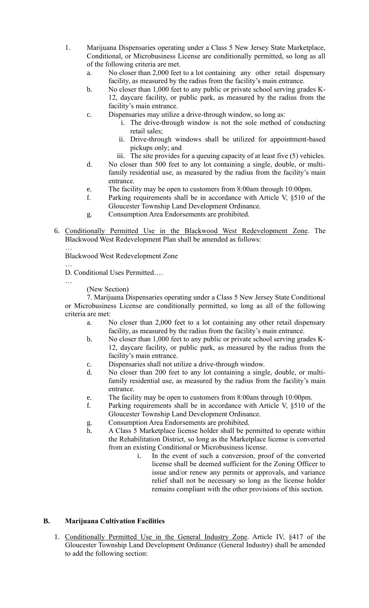- 1. Marijuana Dispensaries operating under a Class 5 New Jersey State Marketplace, Conditional, or Microbusiness License are conditionally permitted, so long as all of the following criteria are met.
	- a. No closer than 2,000 feet to a lot containing any other retail dispensary facility, as measured by the radius from the facility's main entrance.
	- b. No closer than 1,000 feet to any public or private school serving grades K-12, daycare facility, or public park, as measured by the radius from the facility's main entrance.
	- c. Dispensaries may utilize a drive-through window, so long as:
		- i. The drive-through window is not the sole method of conducting retail sales;
		- ii. Drive-through windows shall be utilized for appointment-based pickups only; and
		- iii. The site provides for a queuing capacity of at least five (5) vehicles.
	- d. No closer than 500 feet to any lot containing a single, double, or multifamily residential use, as measured by the radius from the facility's main entrance.
	- e. The facility may be open to customers from 8:00am through 10:00pm.
	- f. Parking requirements shall be in accordance with Article V, §510 of the Gloucester Township Land Development Ordinance.
	- g. Consumption Area Endorsements are prohibited.
- 6. Conditionally Permitted Use in the Blackwood West Redevelopment Zone. The Blackwood West Redevelopment Plan shall be amended as follows:

… Blackwood West Redevelopment Zone

- … D. Conditional Uses Permitted….
- …

(New Section)

7. Marijuana Dispensaries operating under a Class 5 New Jersey State Conditional or Microbusiness License are conditionally permitted, so long as all of the following criteria are met:

- a. No closer than 2,000 feet to a lot containing any other retail dispensary facility, as measured by the radius from the facility's main entrance.
- b. No closer than 1,000 feet to any public or private school serving grades K-12, daycare facility, or public park, as measured by the radius from the facility's main entrance.
- c. Dispensaries shall not utilize a drive-through window.
- d. No closer than 200 feet to any lot containing a single, double, or multifamily residential use, as measured by the radius from the facility's main entrance.
- e. The facility may be open to customers from 8:00am through 10:00pm.
- f. Parking requirements shall be in accordance with Article V, §510 of the Gloucester Township Land Development Ordinance.
- g. Consumption Area Endorsements are prohibited.
- h. A Class 5 Marketplace license holder shall be permitted to operate within the Rehabilitation District, so long as the Marketplace license is converted from an existing Conditional or Microbusiness license.
	- i. In the event of such a conversion, proof of the converted license shall be deemed sufficient for the Zoning Officer to issue and/or renew any permits or approvals, and variance relief shall not be necessary so long as the license holder remains compliant with the other provisions of this section.

# **B. Marijuana Cultivation Facilities**

1. Conditionally Permitted Use in the General Industry Zone. Article IV, §417 of the Gloucester Township Land Development Ordinance (General Industry) shall be amended to add the following section: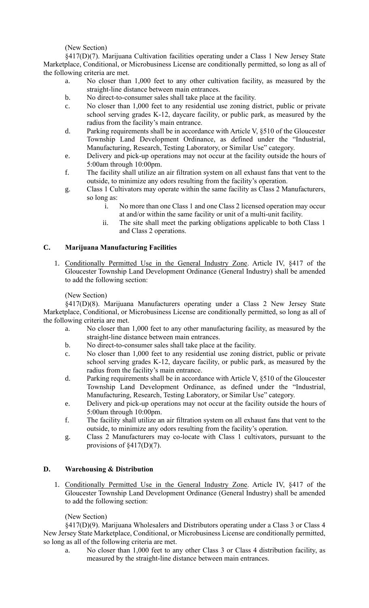(New Section)

§417(D)(7). Marijuana Cultivation facilities operating under a Class 1 New Jersey State Marketplace, Conditional, or Microbusiness License are conditionally permitted, so long as all of the following criteria are met.

- a. No closer than 1,000 feet to any other cultivation facility, as measured by the straight-line distance between main entrances.
- b. No direct-to-consumer sales shall take place at the facility.
- c. No closer than 1,000 feet to any residential use zoning district, public or private school serving grades K-12, daycare facility, or public park, as measured by the radius from the facility's main entrance.
- d. Parking requirements shall be in accordance with Article V, §510 of the Gloucester Township Land Development Ordinance, as defined under the "Industrial, Manufacturing, Research, Testing Laboratory, or Similar Use" category.
- e. Delivery and pick-up operations may not occur at the facility outside the hours of 5:00am through 10:00pm.
- f. The facility shall utilize an air filtration system on all exhaust fans that vent to the outside, to minimize any odors resulting from the facility's operation.
- g. Class 1 Cultivators may operate within the same facility as Class 2 Manufacturers, so long as:
	- i. No more than one Class 1 and one Class 2 licensed operation may occur at and/or within the same facility or unit of a multi-unit facility.
	- ii. The site shall meet the parking obligations applicable to both Class 1 and Class 2 operations.

# **C. Marijuana Manufacturing Facilities**

1. Conditionally Permitted Use in the General Industry Zone. Article IV, §417 of the Gloucester Township Land Development Ordinance (General Industry) shall be amended to add the following section:

# (New Section)

§417(D)(8). Marijuana Manufacturers operating under a Class 2 New Jersey State Marketplace, Conditional, or Microbusiness License are conditionally permitted, so long as all of the following criteria are met.

- a. No closer than 1,000 feet to any other manufacturing facility, as measured by the straight-line distance between main entrances.
- b. No direct-to-consumer sales shall take place at the facility.
- c. No closer than 1,000 feet to any residential use zoning district, public or private school serving grades K-12, daycare facility, or public park, as measured by the radius from the facility's main entrance.
- d. Parking requirements shall be in accordance with Article V, §510 of the Gloucester Township Land Development Ordinance, as defined under the "Industrial, Manufacturing, Research, Testing Laboratory, or Similar Use" category.
- e. Delivery and pick-up operations may not occur at the facility outside the hours of 5:00am through 10:00pm.
- f. The facility shall utilize an air filtration system on all exhaust fans that vent to the outside, to minimize any odors resulting from the facility's operation.
- g. Class 2 Manufacturers may co-locate with Class 1 cultivators, pursuant to the provisions of §417(D)(7).

# **D. Warehousing & Distribution**

1. Conditionally Permitted Use in the General Industry Zone. Article IV, §417 of the Gloucester Township Land Development Ordinance (General Industry) shall be amended to add the following section:

# (New Section)

§417(D)(9). Marijuana Wholesalers and Distributors operating under a Class 3 or Class 4 New Jersey State Marketplace, Conditional, or Microbusiness License are conditionally permitted, so long as all of the following criteria are met.

a. No closer than 1,000 feet to any other Class 3 or Class 4 distribution facility, as measured by the straight-line distance between main entrances.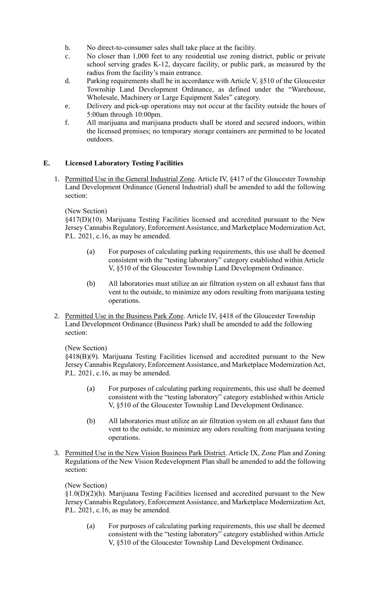- b. No direct-to-consumer sales shall take place at the facility.
- c. No closer than 1,000 feet to any residential use zoning district, public or private school serving grades K-12, daycare facility, or public park, as measured by the radius from the facility's main entrance.
- d. Parking requirements shall be in accordance with Article V, §510 of the Gloucester Township Land Development Ordinance, as defined under the "Warehouse, Wholesale, Machinery or Large Equipment Sales" category.
- e. Delivery and pick-up operations may not occur at the facility outside the hours of 5:00am through 10:00pm.
- f. All marijuana and marijuana products shall be stored and secured indoors, within the licensed premises; no temporary storage containers are permitted to be located outdoors.

# **E. Licensed Laboratory Testing Facilities**

1. Permitted Use in the General Industrial Zone. Article IV, §417 of the Gloucester Township Land Development Ordinance (General Industrial) shall be amended to add the following section:

# (New Section)

§417(D)(10). Marijuana Testing Facilities licensed and accredited pursuant to the New Jersey Cannabis Regulatory, Enforcement Assistance, and Marketplace Modernization Act, P.L. 2021, c.16, as may be amended.

- (a) For purposes of calculating parking requirements, this use shall be deemed consistent with the "testing laboratory" category established within Article V, §510 of the Gloucester Township Land Development Ordinance.
- (b) All laboratories must utilize an air filtration system on all exhaust fans that vent to the outside, to minimize any odors resulting from marijuana testing operations.
- 2. Permitted Use in the Business Park Zone. Article IV, §418 of the Gloucester Township Land Development Ordinance (Business Park) shall be amended to add the following section:

# (New Section)

§418(B)(9). Marijuana Testing Facilities licensed and accredited pursuant to the New Jersey Cannabis Regulatory, Enforcement Assistance, and Marketplace Modernization Act, P.L. 2021, c.16, as may be amended.

- (a) For purposes of calculating parking requirements, this use shall be deemed consistent with the "testing laboratory" category established within Article V, §510 of the Gloucester Township Land Development Ordinance.
- (b) All laboratories must utilize an air filtration system on all exhaust fans that vent to the outside, to minimize any odors resulting from marijuana testing operations.
- 3. Permitted Use in the New Vision Business Park District. Article IX, Zone Plan and Zoning Regulations of the New Vision Redevelopment Plan shall be amended to add the following section:

# (New Section)

§1.0(D)(2)(h). Marijuana Testing Facilities licensed and accredited pursuant to the New Jersey Cannabis Regulatory, Enforcement Assistance, and Marketplace Modernization Act, P.L. 2021, c.16, as may be amended.

(a) For purposes of calculating parking requirements, this use shall be deemed consistent with the "testing laboratory" category established within Article V, §510 of the Gloucester Township Land Development Ordinance.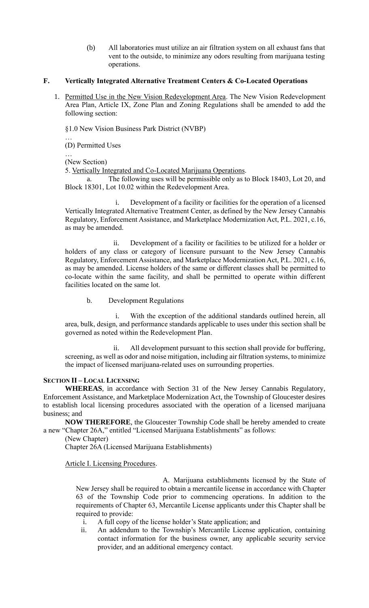(b) All laboratories must utilize an air filtration system on all exhaust fans that vent to the outside, to minimize any odors resulting from marijuana testing operations.

# **F. Vertically Integrated Alternative Treatment Centers & Co-Located Operations**

1. Permitted Use in the New Vision Redevelopment Area. The New Vision Redevelopment Area Plan, Article IX, Zone Plan and Zoning Regulations shall be amended to add the following section:

§1.0 New Vision Business Park District (NVBP)

… (D) Permitted Uses

… (New Section)

5. Vertically Integrated and Co-Located Marijuana Operations.

a. The following uses will be permissible only as to Block 18403, Lot 20, and Block 18301, Lot 10.02 within the Redevelopment Area.

i. Development of a facility or facilities for the operation of a licensed Vertically Integrated Alternative Treatment Center, as defined by the New Jersey Cannabis Regulatory, Enforcement Assistance, and Marketplace Modernization Act, P.L. 2021, c.16, as may be amended.

ii. Development of a facility or facilities to be utilized for a holder or holders of any class or category of licensure pursuant to the New Jersey Cannabis Regulatory, Enforcement Assistance, and Marketplace Modernization Act, P.L. 2021, c.16, as may be amended. License holders of the same or different classes shall be permitted to co-locate within the same facility, and shall be permitted to operate within different facilities located on the same lot.

b. Development Regulations

i. With the exception of the additional standards outlined herein, all area, bulk, design, and performance standards applicable to uses under this section shall be governed as noted within the Redevelopment Plan.

ii. All development pursuant to this section shall provide for buffering, screening, as well as odor and noise mitigation, including air filtration systems, to minimize the impact of licensed marijuana-related uses on surrounding properties.

# **SECTION II – LOCAL LICENSING**

**WHEREAS**, in accordance with Section 31 of the New Jersey Cannabis Regulatory, Enforcement Assistance, and Marketplace Modernization Act, the Township of Gloucester desires to establish local licensing procedures associated with the operation of a licensed marijuana business; and

**NOW THEREFORE**, the Gloucester Township Code shall be hereby amended to create a new "Chapter 26A," entitled "Licensed Marijuana Establishments" as follows:

(New Chapter)

Chapter 26A (Licensed Marijuana Establishments)

Article I. Licensing Procedures.

A. Marijuana establishments licensed by the State of New Jersey shall be required to obtain a mercantile license in accordance with Chapter 63 of the Township Code prior to commencing operations. In addition to the requirements of Chapter 63, Mercantile License applicants under this Chapter shall be required to provide:

- i. A full copy of the license holder's State application; and
- ii. An addendum to the Township's Mercantile License application, containing contact information for the business owner, any applicable security service provider, and an additional emergency contact.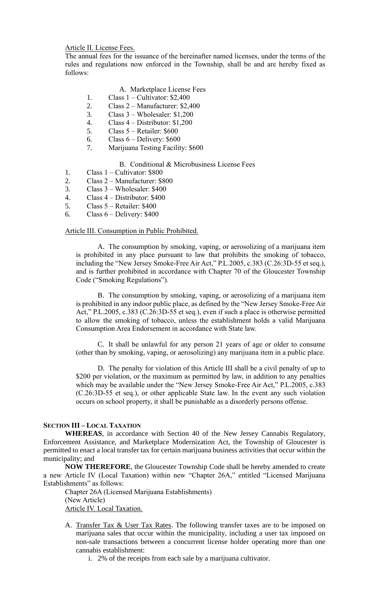Article II. License Fees.

The annual fees for the issuance of the hereinafter named licenses, under the terms of the rules and regulations now enforced in the Township, shall be and are hereby fixed as follows:

# A. Marketplace License Fees

- 1. Class 1 Cultivator: \$2,400
- 2. Class 2 Manufacturer: \$2,400
- 3. Class 3 Wholesaler: \$1,200
- 4. Class 4 Distributor: \$1,200
- 5. Class  $5 -$  Retailer: \$600
- 6. Class  $6 -$  Delivery: \$600
- 7. Marijuana Testing Facility: \$600

### B. Conditional & Microbusiness License Fees

- 1. Class 1 Cultivator: \$800
- 2. Class 2 Manufacturer: \$800
- 3. Class 3 Wholesaler: \$400
- 4. Class 4 Distributor: \$400
- 5. Class 5 Retailer: \$400
- 6. Class  $6 -$  Delivery: \$400

### Article III. Consumption in Public Prohibited.

A. The consumption by smoking, vaping, or aerosolizing of a marijuana item is prohibited in any place pursuant to law that prohibits the smoking of tobacco, including the "New Jersey Smoke-Free Air Act," P.L.2005, c.383 (C.26:3D-55 et seq.), and is further prohibited in accordance with Chapter 70 of the Gloucester Township Code ("Smoking Regulations").

B. The consumption by smoking, vaping, or aerosolizing of a marijuana item is prohibited in any indoor public place, as defined by the "New Jersey Smoke-Free Air Act," P.L.2005, c.383 (C.26:3D-55 et seq.), even if such a place is otherwise permitted to allow the smoking of tobacco, unless the establishment holds a valid Marijuana Consumption Area Endorsement in accordance with State law.

C. It shall be unlawful for any person 21 years of age or older to consume (other than by smoking, vaping, or aerosolizing) any marijuana item in a public place.

D. The penalty for violation of this Article III shall be a civil penalty of up to \$200 per violation, or the maximum as permitted by law, in addition to any penalties which may be available under the "New Jersey Smoke-Free Air Act," P.L.2005, c.383 (C.26:3D-55 et seq.), or other applicable State law. In the event any such violation occurs on school property, it shall be punishable as a disorderly persons offense.

### **SECTION III – LOCAL TAXATION**

**WHEREAS**, in accordance with Section 40 of the New Jersey Cannabis Regulatory, Enforcement Assistance, and Marketplace Modernization Act, the Township of Gloucester is permitted to enact a local transfer tax for certain marijuana business activities that occur within the municipality; and

**NOW THEREFORE**, the Gloucester Township Code shall be hereby amended to create a new Article IV (Local Taxation) within new "Chapter 26A," entitled "Licensed Marijuana Establishments" as follows:

Chapter 26A (Licensed Marijuana Establishments) (New Article) Article IV. Local Taxation.

- A. Transfer Tax & User Tax Rates. The following transfer taxes are to be imposed on marijuana sales that occur within the municipality, including a user tax imposed on non-sale transactions between a concurrent license holder operating more than one cannabis establishment:
	- i. 2% of the receipts from each sale by a marijuana cultivator.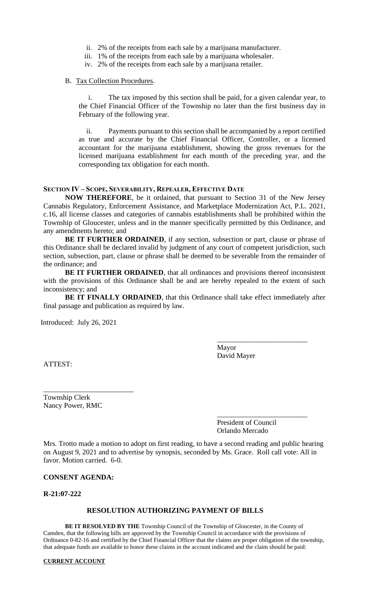- ii. 2% of the receipts from each sale by a marijuana manufacturer.
- iii. 1% of the receipts from each sale by a marijuana wholesaler.
- iv. 2% of the receipts from each sale by a marijuana retailer.

### B. Tax Collection Procedures.

i. The tax imposed by this section shall be paid, for a given calendar year, to the Chief Financial Officer of the Township no later than the first business day in February of the following year.

ii. Payments pursuant to this section shall be accompanied by a report certified as true and accurate by the Chief Financial Officer, Controller, or a licensed accountant for the marijuana establishment, showing the gross revenues for the licensed marijuana establishment for each month of the preceding year, and the corresponding tax obligation for each month.

## **SECTION IV – SCOPE, SEVERABILITY, REPEALER, EFFECTIVE DATE**

**NOW THEREFORE**, be it ordained, that pursuant to Section 31 of the New Jersey Cannabis Regulatory, Enforcement Assistance, and Marketplace Modernization Act, P.L. 2021, c.16, all license classes and categories of cannabis establishments shall be prohibited within the Township of Gloucester, unless and in the manner specifically permitted by this Ordinance, and any amendments hereto; and

**BE IT FURTHER ORDAINED**, if any section, subsection or part, clause or phrase of this Ordinance shall be declared invalid by judgment of any court of competent jurisdiction, such section, subsection, part, clause or phrase shall be deemed to be severable from the remainder of the ordinance; and

**BE IT FURTHER ORDAINED**, that all ordinances and provisions thereof inconsistent with the provisions of this Ordinance shall be and are hereby repealed to the extent of such inconsistency; and

**BE IT FINALLY ORDAINED**, that this Ordinance shall take effect immediately after final passage and publication as required by law.

Introduced: July 26, 2021

Mayor David Mayer

\_\_\_\_\_\_\_\_\_\_\_\_\_\_\_\_\_\_\_\_\_\_\_\_\_

ATTEST:

Township Clerk Nancy Power, RMC

\_\_\_\_\_\_\_\_\_\_\_\_\_\_\_\_\_\_\_\_\_\_\_\_\_

\_\_\_\_\_\_\_\_\_\_\_\_\_\_\_\_\_\_\_\_\_\_\_\_\_ President of Council Orlando Mercado

Mrs. Trotto made a motion to adopt on first reading, to have a second reading and public hearing on August 9, 2021 and to advertise by synopsis, seconded by Ms. Grace. Roll call vote: All in favor. Motion carried. 6-0.

### **CONSENT AGENDA:**

**R-21:07-222**

### **RESOLUTION AUTHORIZING PAYMENT OF BILLS**

**BE IT RESOLVED BY THE** Township Council of the Township of Gloucester, in the County of Camden, that the following bills are approved by the Township Council in accordance with the provisions of Ordinance 0-82-16 and certified by the Chief Financial Officer that the claims are proper obligation of the township, that adequate funds are available to honor these claims in the account indicated and the claim should be paid:

#### **CURRENT ACCOUNT**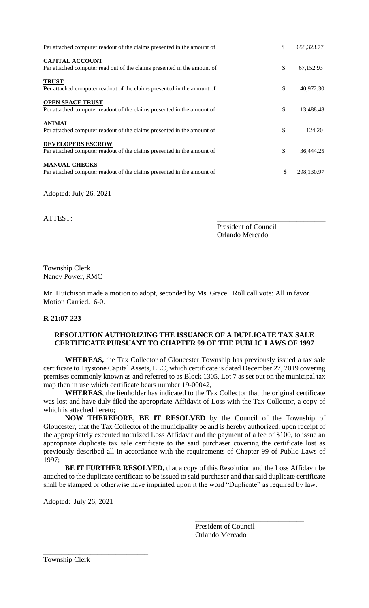| Per attached computer readout of the claims presented in the amount of                             | \$<br>658,323.77 |
|----------------------------------------------------------------------------------------------------|------------------|
| <b>CAPITAL ACCOUNT</b><br>Per attached computer read out of the claims presented in the amount of  | \$<br>67,152.93  |
| <b>TRUST</b><br>Per attached computer readout of the claims presented in the amount of             | \$<br>40,972.30  |
| <b>OPEN SPACE TRUST</b><br>Per attached computer readout of the claims presented in the amount of  | \$<br>13,488.48  |
| <b>ANIMAL</b><br>Per attached computer readout of the claims presented in the amount of            | \$<br>124.20     |
| <b>DEVELOPERS ESCROW</b><br>Per attached computer readout of the claims presented in the amount of | \$<br>36,444.25  |
| <b>MANUAL CHECKS</b><br>Per attached computer readout of the claims presented in the amount of     | \$<br>298,130.97 |

Adopted: July 26, 2021

ATTEST:

President of Council Orlando Mercado

\_\_\_\_\_\_\_\_\_\_\_\_\_\_\_\_\_\_\_\_\_\_\_\_\_\_ Township Clerk Nancy Power, RMC

Mr. Hutchison made a motion to adopt, seconded by Ms. Grace. Roll call vote: All in favor. Motion Carried. 6-0.

# **R-21:07-223**

### **RESOLUTION AUTHORIZING THE ISSUANCE OF A DUPLICATE TAX SALE CERTIFICATE PURSUANT TO CHAPTER 99 OF THE PUBLIC LAWS OF 1997**

**WHEREAS,** the Tax Collector of Gloucester Township has previously issued a tax sale certificate to Trystone Capital Assets, LLC, which certificate is dated December 27, 2019 covering premises commonly known as and referred to as Block 1305, Lot 7 as set out on the municipal tax map then in use which certificate bears number 19-00042,

**WHEREAS**, the lienholder has indicated to the Tax Collector that the original certificate was lost and have duly filed the appropriate Affidavit of Loss with the Tax Collector, a copy of which is attached hereto;

 **NOW THEREFORE, BE IT RESOLVED** by the Council of the Township of Gloucester, that the Tax Collector of the municipality be and is hereby authorized, upon receipt of the appropriately executed notarized Loss Affidavit and the payment of a fee of \$100, to issue an appropriate duplicate tax sale certificate to the said purchaser covering the certificate lost as previously described all in accordance with the requirements of Chapter 99 of Public Laws of 1997;

**BE IT FURTHER RESOLVED,** that a copy of this Resolution and the Loss Affidavit be attached to the duplicate certificate to be issued to said purchaser and that said duplicate certificate shall be stamped or otherwise have imprinted upon it the word "Duplicate" as required by law.

Adopted: July 26, 2021

\_\_\_\_\_\_\_\_\_\_\_\_\_\_\_\_\_\_\_\_\_\_\_\_\_\_\_\_\_

President of Council Orlando Mercado

\_\_\_\_\_\_\_\_\_\_\_\_\_\_\_\_\_\_\_\_\_\_\_\_\_\_\_\_\_\_

Township Clerk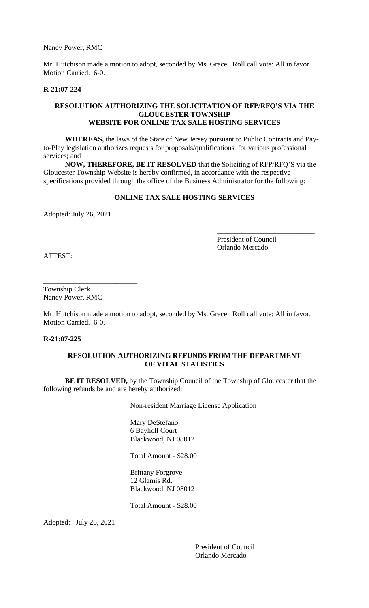Nancy Power, RMC

Mr. Hutchison made a motion to adopt, seconded by Ms. Grace. Roll call vote: All in favor. Motion Carried. 6-0.

### **R-21:07-224**

## **RESOLUTION AUTHORIZING THE SOLICITATION OF RFP/RFQ'S VIA THE GLOUCESTER TOWNSHIP WEBSITE FOR ONLINE TAX SALE HOSTING SERVICES**

**WHEREAS,** the laws of the State of New Jersey pursuant to Public Contracts and Payto-Play legislation authorizes requests for proposals/qualifications for various professional services; and

**NOW, THEREFORE, BE IT RESOLVED** that the Soliciting of RFP/RFQ'S via the Gloucester Township Website is hereby confirmed, in accordance with the respective specifications provided through the office of the Business Administrator for the following:

# **ONLINE TAX SALE HOSTING SERVICES**

Adopted: July 26, 2021

President of Council Orlando Mercado

\_\_\_\_\_\_\_\_\_\_\_\_\_\_\_\_\_\_\_\_\_\_\_\_\_\_\_

ATTEST:

Township Clerk Nancy Power, RMC

\_\_\_\_\_\_\_\_\_\_\_\_\_\_\_\_\_\_\_\_\_\_\_\_\_\_

Mr. Hutchison made a motion to adopt, seconded by Ms. Grace. Roll call vote: All in favor. Motion Carried. 6-0.

## **R-21:07-225**

# **RESOLUTION AUTHORIZING REFUNDS FROM THE DEPARTMENT OF VITAL STATISTICS**

**BE IT RESOLVED,** by the Township Council of the Township of Gloucester that the following refunds be and are hereby authorized:

Non-resident Marriage License Application

Mary DeStefano 6 Bayholl Court Blackwood, NJ 08012

Total Amount - \$28.00

Brittany Forgrove 12 Glamis Rd. Blackwood, NJ 08012

Total Amount - \$28.00

Adopted: July 26, 2021

President of Council Orlando Mercado

\_\_\_\_\_\_\_\_\_\_\_\_\_\_\_\_\_\_\_\_\_\_\_\_\_\_\_\_\_\_\_\_\_\_\_\_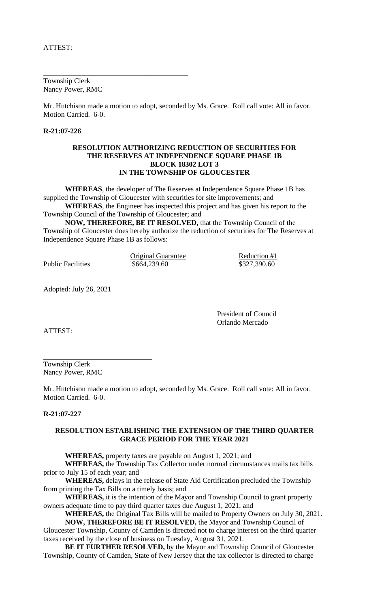Township Clerk Nancy Power, RMC

\_\_\_\_\_\_\_\_\_\_\_\_\_\_\_\_\_\_\_\_\_\_\_\_\_\_\_\_\_\_\_\_\_\_\_\_\_\_\_\_

Mr. Hutchison made a motion to adopt, seconded by Ms. Grace. Roll call vote: All in favor. Motion Carried. 6-0.

## **R-21:07-226**

### **RESOLUTION AUTHORIZING REDUCTION OF SECURITIES FOR THE RESERVES AT INDEPENDENCE SQUARE PHASE 1B BLOCK 18302 LOT 3 IN THE TOWNSHIP OF GLOUCESTER**

**WHEREAS**, the developer of The Reserves at Independence Square Phase 1B has supplied the Township of Gloucester with securities for site improvements; and **WHEREAS**, the Engineer has inspected this project and has given his report to the Township Council of the Township of Gloucester; and

**NOW, THEREFORE, BE IT RESOLVED,** that the Township Council of the Township of Gloucester does hereby authorize the reduction of securities for The Reserves at Independence Square Phase 1B as follows:

<u>Original Guarantee</u> Reduction #1<br>
\$664,239.60 \$327,390.60

Public Facilities

Adopted: July 26, 2021

President of Council Orlando Mercado

ATTEST:

Township Clerk Nancy Power, RMC

Mr. Hutchison made a motion to adopt, seconded by Ms. Grace. Roll call vote: All in favor. Motion Carried. 6-0.

### **R-21:07-227**

## **RESOLUTION ESTABLISHING THE EXTENSION OF THE THIRD QUARTER GRACE PERIOD FOR THE YEAR 2021**

**WHEREAS,** property taxes are payable on August 1, 2021; and

**WHEREAS,** the Township Tax Collector under normal circumstances mails tax bills prior to July 15 of each year; and

**WHEREAS,** delays in the release of State Aid Certification precluded the Township from printing the Tax Bills on a timely basis; and

**WHEREAS,** it is the intention of the Mayor and Township Council to grant property owners adequate time to pay third quarter taxes due August 1, 2021; and

**WHEREAS,** the Original Tax Bills will be mailed to Property Owners on July 30, 2021.

**NOW, THEREFORE BE IT RESOLVED,** the Mayor and Township Council of Gloucester Township, County of Camden is directed not to charge interest on the third quarter taxes received by the close of business on Tuesday, August 31, 2021.

**BE IT FURTHER RESOLVED,** by the Mayor and Township Council of Gloucester Township, County of Camden, State of New Jersey that the tax collector is directed to charge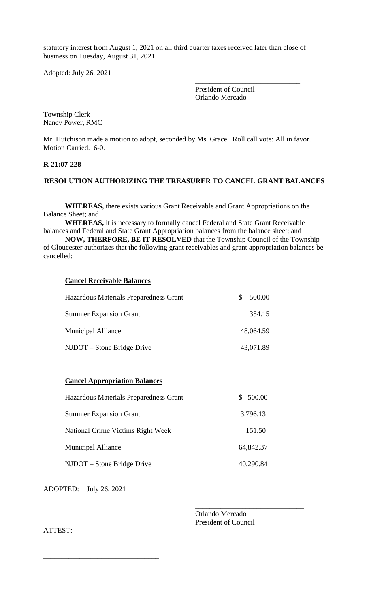statutory interest from August 1, 2021 on all third quarter taxes received later than close of business on Tuesday, August 31, 2021.

Adopted: July 26, 2021

\_\_\_\_\_\_\_\_\_\_\_\_\_\_\_\_\_\_\_\_\_\_\_\_\_\_\_\_

President of Council Orlando Mercado

\_\_\_\_\_\_\_\_\_\_\_\_\_\_\_\_\_\_\_\_\_\_\_\_\_\_\_\_\_

Township Clerk Nancy Power, RMC

Mr. Hutchison made a motion to adopt, seconded by Ms. Grace. Roll call vote: All in favor. Motion Carried. 6-0.

### **R-21:07-228**

## **RESOLUTION AUTHORIZING THE TREASURER TO CANCEL GRANT BALANCES**

**WHEREAS,** there exists various Grant Receivable and Grant Appropriations on the Balance Sheet; and

**WHEREAS,** it is necessary to formally cancel Federal and State Grant Receivable balances and Federal and State Grant Appropriation balances from the balance sheet; and

**NOW, THERFORE, BE IT RESOLVED** that the Township Council of the Township of Gloucester authorizes that the following grant receivables and grant appropriation balances be cancelled:

### **Cancel Receivable Balances**

| Hazardous Materials Preparedness Grant | 500.00    |
|----------------------------------------|-----------|
| <b>Summer Expansion Grant</b>          | 354.15    |
| <b>Municipal Alliance</b>              | 48,064.59 |
| NJDOT – Stone Bridge Drive             | 43,071.89 |

# **Cancel Appropriation Balances**

| Hazardous Materials Preparedness Grant | \$500.00  |
|----------------------------------------|-----------|
| <b>Summer Expansion Grant</b>          | 3,796.13  |
| National Crime Victims Right Week      | 151.50    |
| <b>Municipal Alliance</b>              | 64,842.37 |
| NJDOT – Stone Bridge Drive             | 40,290.84 |

ADOPTED: July 26, 2021

\_\_\_\_\_\_\_\_\_\_\_\_\_\_\_\_\_\_\_\_\_\_\_\_\_\_\_\_\_\_\_\_

Orlando Mercado President of Council

\_\_\_\_\_\_\_\_\_\_\_\_\_\_\_\_\_\_\_\_\_\_\_\_\_\_\_\_\_\_

ATTEST: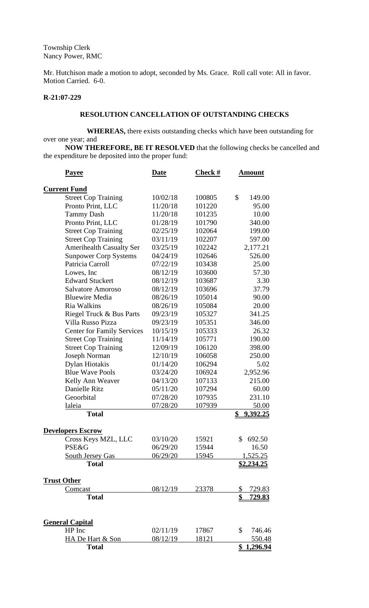Township Clerk Nancy Power, RMC

Mr. Hutchison made a motion to adopt, seconded by Ms. Grace. Roll call vote: All in favor. Motion Carried. 6-0.

# **R-21:07-229**

## **RESOLUTION CANCELLATION OF OUTSTANDING CHECKS**

**WHEREAS,** there exists outstanding checks which have been outstanding for over one year; and

**NOW THEREFORE, BE IT RESOLVED** that the following checks be cancelled and the expenditure be deposited into the proper fund:

| <u>Payee</u>                      | <b>Date</b> | <b>Check #</b> | <u>Amount</u>          |
|-----------------------------------|-------------|----------------|------------------------|
| <b>Current Fund</b>               |             |                |                        |
| <b>Street Cop Training</b>        | 10/02/18    | 100805         | \$<br>149.00           |
| Pronto Print, LLC                 | 11/20/18    | 101220         | 95.00                  |
| <b>Tammy Dash</b>                 | 11/20/18    | 101235         | 10.00                  |
| Pronto Print, LLC                 | 01/28/19    | 101790         | 340.00                 |
| <b>Street Cop Training</b>        | 02/25/19    | 102064         | 199.00                 |
| <b>Street Cop Training</b>        | 03/11/19    | 102207         | 597.00                 |
| <b>Amerihealth Casualty Ser</b>   | 03/25/19    | 102242         | 2,177.21               |
| <b>Sunpower Corp Systems</b>      | 04/24/19    | 102646         | 526.00                 |
| Patricia Carroll                  | 07/22/19    | 103438         | 25.00                  |
| Lowes, Inc.                       | 08/12/19    | 103600         | 57.30                  |
| <b>Edward Stuckert</b>            | 08/12/19    | 103687         | 3.30                   |
| <b>Salvatore Amoroso</b>          | 08/12/19    | 103696         | 37.79                  |
| <b>Bluewire Media</b>             | 08/26/19    | 105014         | 90.00                  |
| Ria Walkins                       | 08/26/19    | 105084         | 20.00                  |
| Riegel Truck & Bus Parts          | 09/23/19    | 105327         | 341.25                 |
| Villa Russo Pizza                 | 09/23/19    | 105351         | 346.00                 |
| <b>Center for Family Services</b> | 10/15/19    | 105333         | 26.32                  |
| <b>Street Cop Training</b>        | 11/14/19    | 105771         | 190.00                 |
| <b>Street Cop Training</b>        | 12/09/19    | 106120         | 398.00                 |
| Joseph Norman                     | 12/10/19    | 106058         | 250.00                 |
| Dylan Hiotakis                    | 01/14/20    | 106294         | 5.02                   |
| <b>Blue Wave Pools</b>            | 03/24/20    | 106924         | 2,952.96               |
| Kelly Ann Weaver                  | 04/13/20    | 107133         | 215.00                 |
| Danielle Ritz                     | 05/11/20    | 107294         | 60.00                  |
| Geoorbital                        | 07/28/20    | 107935         | 231.10                 |
| Ialeia                            | 07/28/20    | 107939         | 50.00                  |
| <b>Total</b>                      |             |                | \$<br>9,392.25         |
| <b>Developers Escrow</b>          |             |                |                        |
| Cross Keys MZL, LLC               | 03/10/20    | 15921          | \$692.50               |
| <b>PSE&amp;G</b>                  | 06/29/20    | 15944          | 16.50                  |
| South Jersey Gas                  | 06/29/20    | 15945          | 1,525.25               |
| <b>Total</b>                      |             |                | <u>\$2,234.25</u>      |
| <b>Trust Other</b>                |             |                |                        |
| Comcast                           | 08/12/19    | 23378          | \$<br>729.83           |
| <b>Total</b>                      |             |                | \$<br><u>729.83</u>    |
|                                   |             |                |                        |
| <b>General Capital</b>            |             |                |                        |
| HP Inc                            | 02/11/19    | 17867          | $\mathbb{S}$<br>746.46 |
| <b>HA De Hart &amp; Son</b>       | 08/12/19    | 18121          | 550.48                 |
| <b>Total</b>                      |             |                | <u>\$1,296.94</u>      |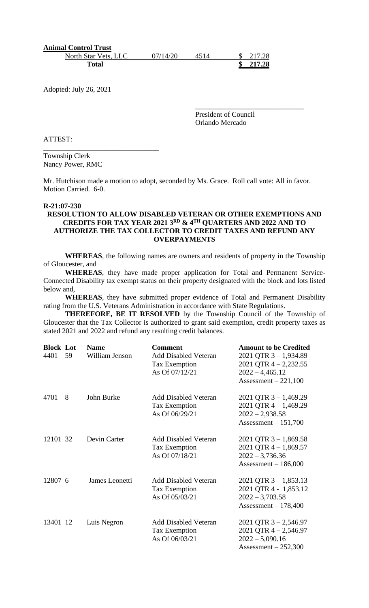| <b>Animal Control Trust</b> |          |      |                     |
|-----------------------------|----------|------|---------------------|
| North Star Vets, LLC        | 07/14/20 | 4514 | $\frac{\$}{217.28}$ |
| Total                       |          |      | 217.28              |

Adopted: July 26, 2021

President of Council Orlando Mercado

\_\_\_\_\_\_\_\_\_\_\_\_\_\_\_\_\_\_\_\_\_\_\_\_\_\_\_\_\_\_

ATTEST:

Township Clerk Nancy Power, RMC

\_\_\_\_\_\_\_\_\_\_\_\_\_\_\_\_\_\_\_\_\_\_\_\_\_\_\_\_\_\_\_\_

Mr. Hutchison made a motion to adopt, seconded by Ms. Grace. Roll call vote: All in favor. Motion Carried. 6-0.

### **R-21:07-230**

# **RESOLUTION TO ALLOW DISABLED VETERAN OR OTHER EXEMPTIONS AND CREDITS FOR TAX YEAR 2021 3RD & 4TH QUARTERS AND 2022 AND TO AUTHORIZE THE TAX COLLECTOR TO CREDIT TAXES AND REFUND ANY OVERPAYMENTS**

**WHEREAS**, the following names are owners and residents of property in the Township of Gloucester, and

**WHEREAS**, they have made proper application for Total and Permanent Service-Connected Disability tax exempt status on their property designated with the block and lots listed below and,

**WHEREAS**, they have submitted proper evidence of Total and Permanent Disability rating from the U.S. Veterans Administration in accordance with State Regulations.

**THEREFORE, BE IT RESOLVED** by the Township Council of the Township of Gloucester that the Tax Collector is authorized to grant said exemption, credit property taxes as stated 2021 and 2022 and refund any resulting credit balances.

| <b>Block Lot</b><br>4401 | 59  | <b>Name</b><br>William Jenson | <b>Comment</b><br>Add Disabled Veteran<br>Tax Exemption<br>As Of 07/12/21 | <b>Amount to be Credited</b><br>2021 QTR $3 - 1,934.89$<br>$2021$ QTR 4 - 2,232.55<br>$2022 - 4,465.12$<br>Assessment $-221,100$ |
|--------------------------|-----|-------------------------------|---------------------------------------------------------------------------|----------------------------------------------------------------------------------------------------------------------------------|
| 4701                     | - 8 | John Burke                    | <b>Add Disabled Veteran</b><br>Tax Exemption<br>As Of 06/29/21            | $2021$ QTR 3 - 1,469.29<br>2021 QTR $4 - 1,469.29$<br>$2022 - 2,938.58$<br>Assessment $-151,700$                                 |
| 12101 32                 |     | Devin Carter                  | <b>Add Disabled Veteran</b><br>Tax Exemption<br>As Of 07/18/21            | 2021 QTR $3 - 1,869.58$<br>2021 QTR $4 - 1,869.57$<br>$2022 - 3,736.36$<br>Assessment $-186,000$                                 |
| 12807 6                  |     | James Leonetti                | <b>Add Disabled Veteran</b><br>Tax Exemption<br>As Of 05/03/21            | 2021 QTR $3 - 1,853.13$<br>2021 QTR 4 - 1,853.12<br>$2022 - 3,703.58$<br>Assessment $-178,400$                                   |
| 13401 12                 |     | Luis Negron                   | <b>Add Disabled Veteran</b><br>Tax Exemption<br>As Of 06/03/21            | $2021$ QTR 3 - 2,546.97<br>2021 QTR $4 - 2,546.97$<br>$2022 - 5,090.16$<br>Assessment $-252,300$                                 |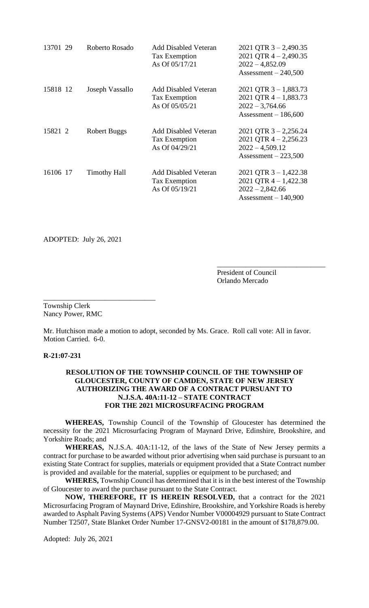| 13701 29 | Roberto Rosado      | <b>Add Disabled Veteran</b><br>Tax Exemption<br>As Of 05/17/21 | 2021 QTR $3 - 2,490.35$<br>2021 OTR $4 - 2,490.35$<br>$2022 - 4,852.09$<br>Assessment $-240,500$ |
|----------|---------------------|----------------------------------------------------------------|--------------------------------------------------------------------------------------------------|
| 15818 12 | Joseph Vassallo     | Add Disabled Veteran<br>Tax Exemption<br>As Of 05/05/21        | 2021 QTR $3 - 1,883.73$<br>2021 QTR $4 - 1,883.73$<br>$2022 - 3,764.66$<br>Assessment $-186,600$ |
| 15821 2  | <b>Robert Buggs</b> | <b>Add Disabled Veteran</b><br>Tax Exemption<br>As Of 04/29/21 | $2021$ QTR 3 - 2,256.24<br>2021 QTR $4 - 2,256.23$<br>$2022 - 4,509.12$<br>Assessment $-223,500$ |
| 16106 17 | <b>Timothy Hall</b> | <b>Add Disabled Veteran</b><br>Tax Exemption<br>As Of 05/19/21 | 2021 QTR $3 - 1,422.38$<br>2021 QTR $4 - 1,422.38$<br>$2022 - 2,842.66$<br>Assessment $-140,900$ |

ADOPTED: July 26, 2021

\_\_\_\_\_\_\_\_\_\_\_\_\_\_\_\_\_\_\_\_\_\_\_\_\_\_\_\_\_\_\_

President of Council Orlando Mercado

\_\_\_\_\_\_\_\_\_\_\_\_\_\_\_\_\_\_\_\_\_\_\_\_\_\_\_\_\_\_

Township Clerk Nancy Power, RMC

Mr. Hutchison made a motion to adopt, seconded by Ms. Grace. Roll call vote: All in favor. Motion Carried. 6-0.

**R-21:07-231**

# **RESOLUTION OF THE TOWNSHIP COUNCIL OF THE TOWNSHIP OF GLOUCESTER, COUNTY OF CAMDEN, STATE OF NEW JERSEY AUTHORIZING THE AWARD OF A CONTRACT PURSUANT TO N.J.S.A. 40A:11-12 – STATE CONTRACT FOR THE 2021 MICROSURFACING PROGRAM**

**WHEREAS,** Township Council of the Township of Gloucester has determined the necessity for the 2021 Microsurfacing Program of Maynard Drive, Edinshire, Brookshire, and Yorkshire Roads; and

**WHEREAS,** N.J.S.A. 40A:11-12, of the laws of the State of New Jersey permits a contract for purchase to be awarded without prior advertising when said purchase is pursuant to an existing State Contract for supplies, materials or equipment provided that a State Contract number is provided and available for the material, supplies or equipment to be purchased; and

**WHERES,** Township Council has determined that it is in the best interest of the Township of Gloucester to award the purchase pursuant to the State Contract.

**NOW, THEREFORE, IT IS HEREIN RESOLVED,** that a contract for the 2021 Microsurfacing Program of Maynard Drive, Edinshire, Brookshire, and Yorkshire Roads is hereby awarded to Asphalt Paving Systems (APS) Vendor Number V00004929 pursuant to State Contract Number T2507, State Blanket Order Number 17-GNSV2-00181 in the amount of \$178,879.00.

Adopted: July 26, 2021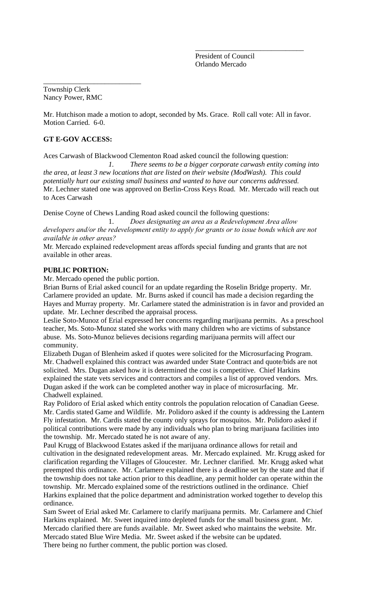President of Council Orlando Mercado

\_\_\_\_\_\_\_\_\_\_\_\_\_\_\_\_\_\_\_\_\_\_\_\_\_\_\_\_\_\_

Township Clerk Nancy Power, RMC

\_\_\_\_\_\_\_\_\_\_\_\_\_\_\_\_\_\_\_\_\_\_\_\_\_\_\_

Mr. Hutchison made a motion to adopt, seconded by Ms. Grace. Roll call vote: All in favor. Motion Carried. 6-0.

# **GT E-GOV ACCESS:**

Aces Carwash of Blackwood Clementon Road asked council the following question:

*1. There seems to be a bigger corporate carwash entity coming into the area, at least 3 new locations that are listed on their website (ModWash). This could potentially hurt our existing small business and wanted to have our concerns addressed.*  Mr. Lechner stated one was approved on Berlin-Cross Keys Road. Mr. Mercado will reach out to Aces Carwash

Denise Coyne of Chews Landing Road asked council the following questions:

1. *Does designating an area as a Redevelopment Area allow developers and/or the redevelopment entity to apply for grants or to issue bonds which are not available in other areas?*

Mr. Mercado explained redevelopment areas affords special funding and grants that are not available in other areas.

# **PUBLIC PORTION:**

Mr. Mercado opened the public portion.

Brian Burns of Erial asked council for an update regarding the Roselin Bridge property. Mr. Carlamere provided an update. Mr. Burns asked if council has made a decision regarding the Hayes and Murray property. Mr. Carlamere stated the administration is in favor and provided an update. Mr. Lechner described the appraisal process.

Leslie Soto-Munoz of Erial expressed her concerns regarding marijuana permits. As a preschool teacher, Ms. Soto-Munoz stated she works with many children who are victims of substance abuse. Ms. Soto-Munoz believes decisions regarding marijuana permits will affect our community.

Elizabeth Dugan of Blenheim asked if quotes were solicited for the Microsurfacing Program. Mr. Chadwell explained this contract was awarded under State Contract and quote/bids are not solicited. Mrs. Dugan asked how it is determined the cost is competitive. Chief Harkins explained the state vets services and contractors and compiles a list of approved vendors. Mrs. Dugan asked if the work can be completed another way in place of microsurfacing. Mr. Chadwell explained.

Ray Polidoro of Erial asked which entity controls the population relocation of Canadian Geese. Mr. Cardis stated Game and Wildlife. Mr. Polidoro asked if the county is addressing the Lantern Fly infestation. Mr. Cardis stated the county only sprays for mosquitos. Mr. Polidoro asked if political contributions were made by any individuals who plan to bring marijuana facilities into the township. Mr. Mercado stated he is not aware of any.

Paul Krugg of Blackwood Estates asked if the marijuana ordinance allows for retail and cultivation in the designated redevelopment areas. Mr. Mercado explained. Mr. Krugg asked for clarification regarding the Villages of Gloucester. Mr. Lechner clarified. Mr. Krugg asked what preempted this ordinance. Mr. Carlamere explained there is a deadline set by the state and that if the township does not take action prior to this deadline, any permit holder can operate within the township. Mr. Mercado explained some of the restrictions outlined in the ordinance. Chief Harkins explained that the police department and administration worked together to develop this ordinance.

Sam Sweet of Erial asked Mr. Carlamere to clarify marijuana permits. Mr. Carlamere and Chief Harkins explained. Mr. Sweet inquired into depleted funds for the small business grant. Mr. Mercado clarified there are funds available. Mr. Sweet asked who maintains the website. Mr. Mercado stated Blue Wire Media. Mr. Sweet asked if the website can be updated. There being no further comment, the public portion was closed.